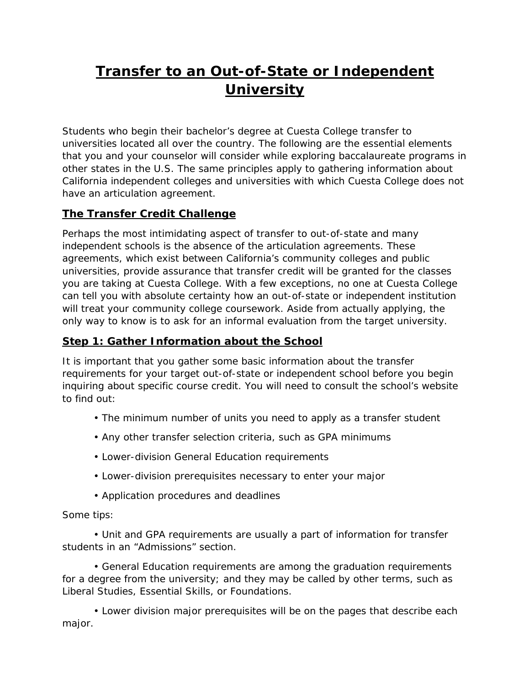# **Transfer to an Out-of-State or Independent University**

Students who begin their bachelor's degree at Cuesta College transfer to universities located all over the country. The following are the essential elements that you and your counselor will consider while exploring baccalaureate programs in other states in the U.S. The same principles apply to gathering information about California independent colleges and universities with which Cuesta College does not have an articulation agreement.

## **The Transfer Credit Challenge**

Perhaps the most intimidating aspect of transfer to out-of-state and many independent schools is the absence of the articulation agreements. These agreements, which exist between California's community colleges and public universities, provide assurance that transfer credit will be granted for the classes you are taking at Cuesta College. With a few exceptions, no one at Cuesta College can tell you with absolute certainty how an out-of-state or independent institution will treat your community college coursework. Aside from actually applying, the only way to know is to ask for an informal evaluation from the target university.

## **Step 1: Gather Information about the School**

It is important that you gather some basic information about the transfer requirements for your target out-of-state or independent school before you begin inquiring about specific course credit. You will need to consult the school's website to find out:

- The minimum number of units you need to apply as a transfer student
- Any other transfer selection criteria, such as GPA minimums
- Lower-division General Education requirements
- Lower-division prerequisites necessary to enter your major
- Application procedures and deadlines

#### Some tips:

• Unit and GPA requirements are usually a part of information for transfer students in an "Admissions" section.

• General Education requirements are among the graduation requirements for a degree from the university; and they may be called by other terms, such as Liberal Studies, Essential Skills, or Foundations.

• Lower division major prerequisites will be on the pages that describe each major.